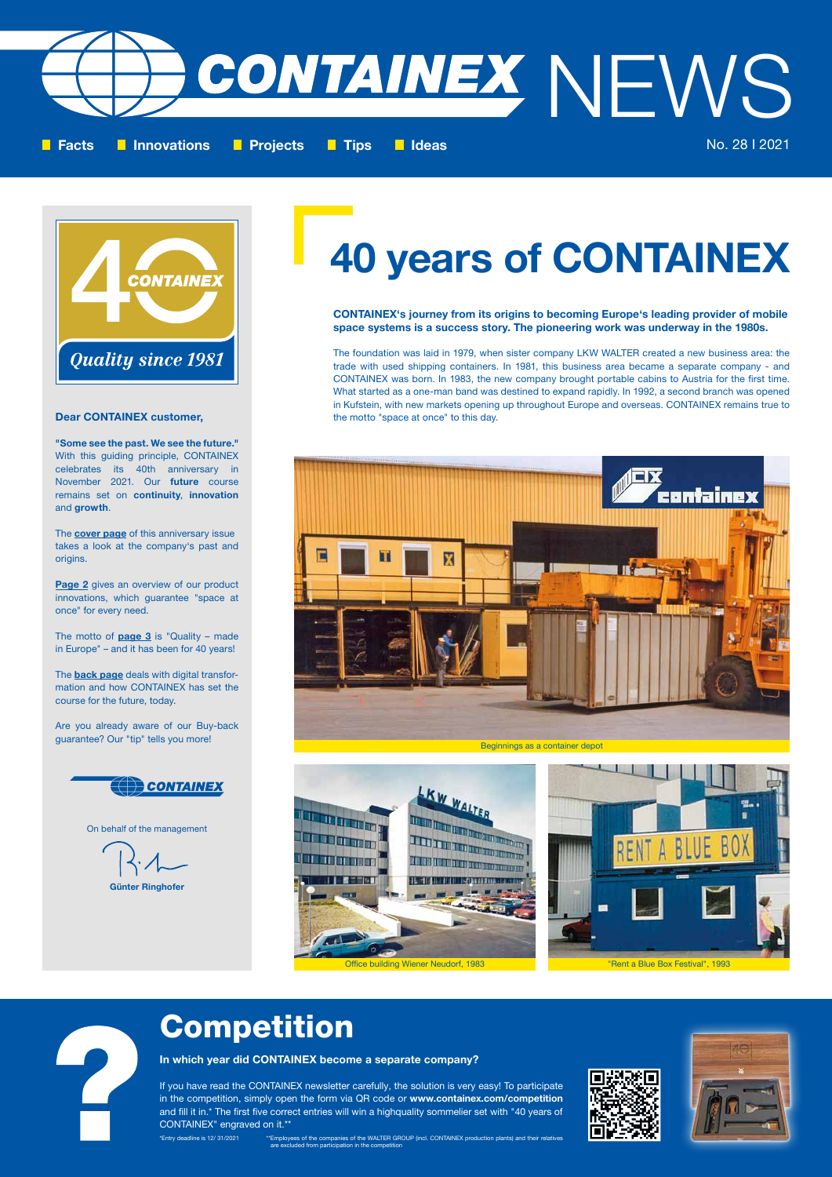### Competition

In which year did CONTAINEX become a separate company?

If you have read the CONTAINEX newsletter carefully, the solution is very easy! To participate in the competition, simply open the form via QR code or www.containex.com/competition and fill it in.\* The first five correct entries will win a highquality sommelier set with "40 years of CONTAINEX" engraved on it.\*\*



CONTAINEX's journey from its origins to becoming Europe's leading provider of mobile space systems is a success story. The pioneering work was underway in the 1980s.

The **cover page** of this anniversary issue takes a look at the company's past and origins.

The foundation was laid in 1979, when sister company LKW WALTER created a new business area: the trade with used shipping containers. In 1981, this business area became a separate company - and CONTAINEX was born. In 1983, the new company brought portable cabins to Austria for the first time. What started as a one-man band was destined to expand rapidly. In 1992, a second branch was opened in Kufstein, with new markets opening up throughout Europe and overseas. CONTAINEX remains true to the motto "space at once" to this day.

Page 2 gives an overview of our product innovations, which guarantee "space at once" for every need.

The motto of  $page 3$  is "Quality – made in Europe" – and it has been for 40 years!

The **back page** deals with digital transformation and how CONTAINEX has set the course for the future, today.

# 40 years of CONTAINEX





### Günter Ringhofer

On behalf of the management

### Dear CONTAINEX customer,

"Some see the past. We see the future." With this guiding principle, CONTAINEX celebrates its 40th anniversary in November 2021. Our future course remains set on continuity, innovation and growth.

Are you already aware of our Buy-back











\*Entry deadline is 12/ 31/2021 \*\*Employees of the companies of the WALTER GROUP (incl. CONTAINEX production plants) and their relatives are excluded from participation in the competition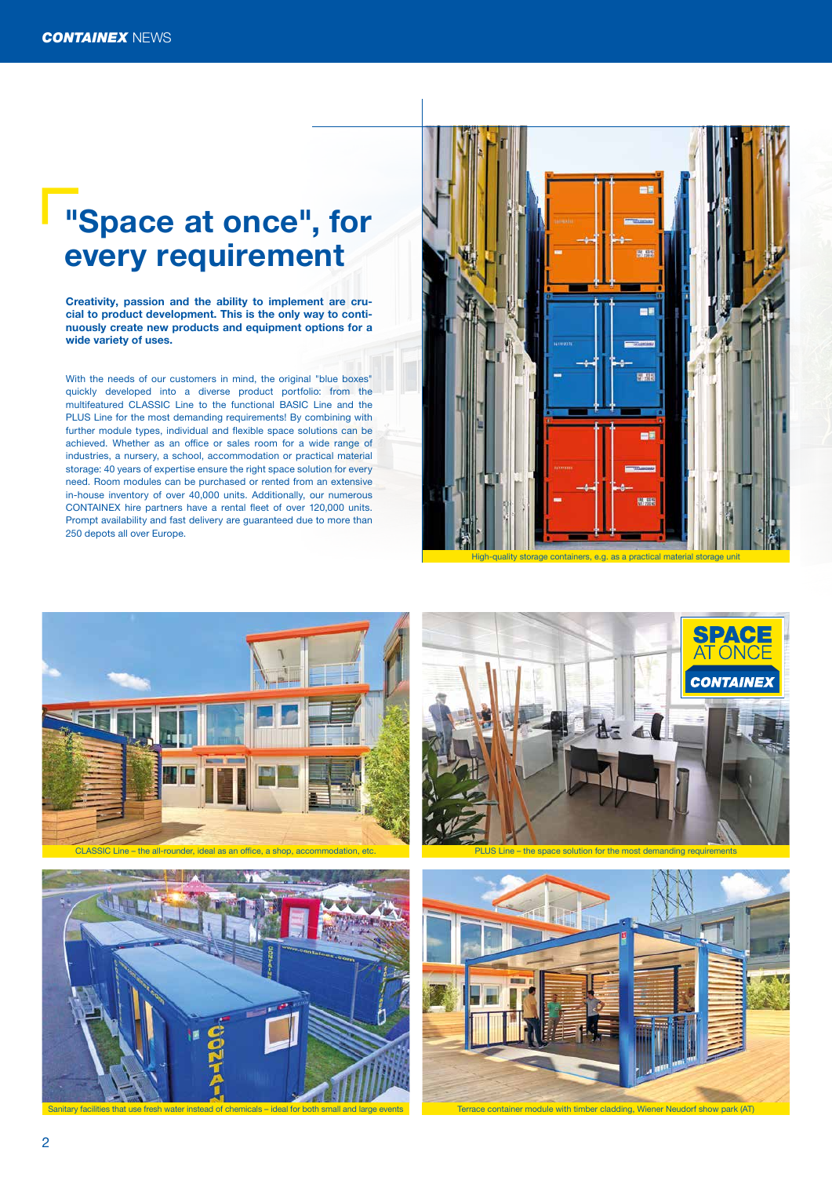







PLUS Line – the space solution for the most demanding requirements



### "Space at once", for every requirement

Creativity, passion and the ability to implement are crucial to product development. This is the only way to continuously create new products and equipment options for a wide variety of uses.

With the needs of our customers in mind, the original "blue boxes" quickly developed into a diverse product portfolio: from the multifeatured CLASSIC Line to the functional BASIC Line and the PLUS Line for the most demanding requirements! By combining with further module types, individual and flexible space solutions can be achieved. Whether as an office or sales room for a wide range of industries, a nursery, a school, accommodation or practical material storage: 40 years of expertise ensure the right space solution for every need. Room modules can be purchased or rented from an extensive in-house inventory of over 40,000 units. Additionally, our numerous CONTAINEX hire partners have a rental fleet of over 120,000 units. Prompt availability and fast delivery are guaranteed due to more than 250 depots all over Europe.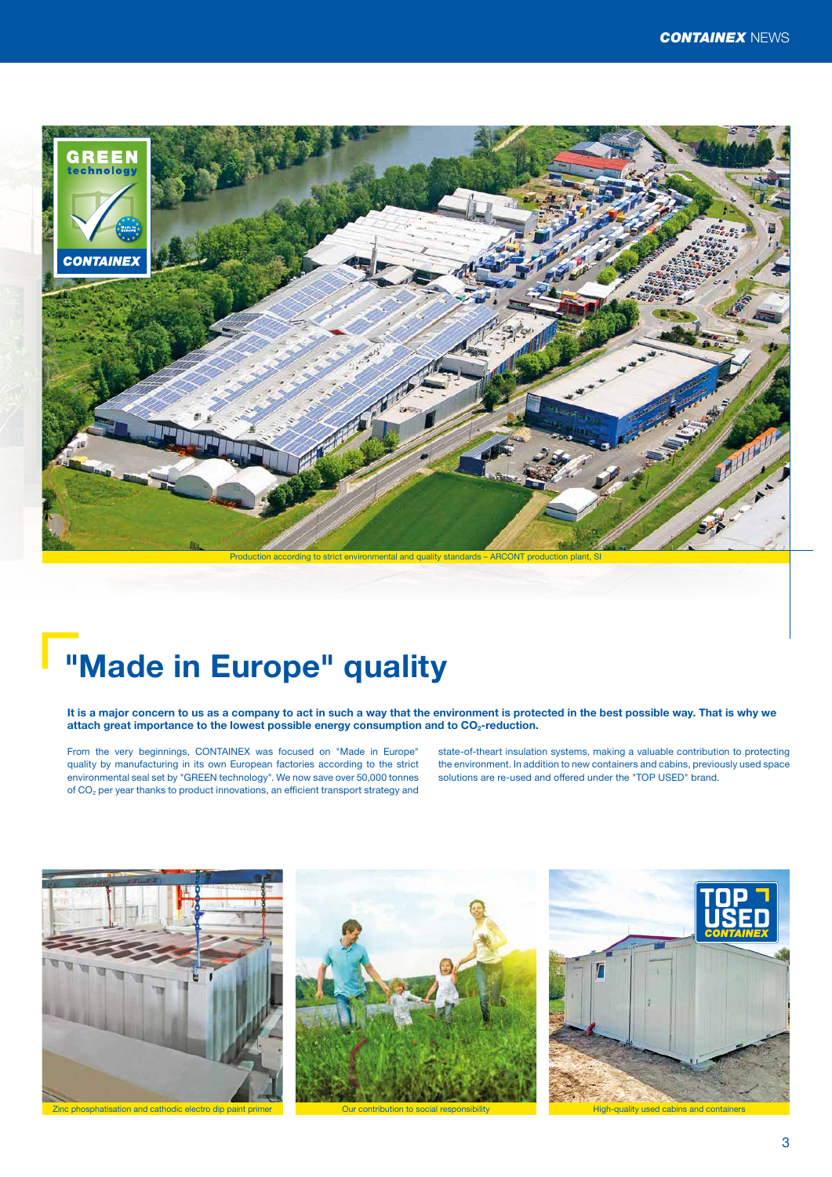



It is a major concern to us as a company to act in such a way that the environment is protected in the best possible way. That is why we attach great importance to the lowest possible energy consumption and to CO<sub>2</sub>-reduction.

### "Made in Europe" quality

From the very beginnings, CONTAINEX was focused on "Made in Europe" quality by manufacturing in its own European factories according to the strict environmental seal set by "GREEN technology". We now save over 50,000 tonnes of CO2 per year thanks to product innovations, an efficient transport strategy and

state-of-theart insulation systems, making a valuable contribution to protecting the environment. In addition to new containers and cabins, previously used space solutions are re-used and offered under the "TOP USED" brand.





Production according to strict environmental and quality standards – ARCONT production plant, SI